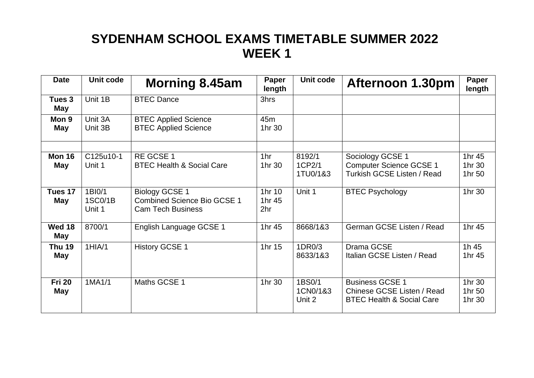| <b>Date</b>          | Unit code                   | <b>Morning 8.45am</b>                                                                   | Paper<br>length                     | Unit code                    | <b>Afternoon 1.30pm</b>                                                                      | Paper<br>length            |
|----------------------|-----------------------------|-----------------------------------------------------------------------------------------|-------------------------------------|------------------------------|----------------------------------------------------------------------------------------------|----------------------------|
| Tues 3<br>May        | Unit 1B                     | <b>BTEC Dance</b>                                                                       | 3hrs                                |                              |                                                                                              |                            |
| Mon 9<br>May         | Unit 3A<br>Unit 3B          | <b>BTEC Applied Science</b><br><b>BTEC Applied Science</b>                              | 45 <sub>m</sub><br>1hr 30           |                              |                                                                                              |                            |
| <b>Mon 16</b><br>May | C125u10-1<br>Unit 1         | RE GCSE 1<br><b>BTEC Health &amp; Social Care</b>                                       | 1hr<br>1hr 30                       | 8192/1<br>1CP2/1<br>1TU0/1&3 | Sociology GCSE 1<br><b>Computer Science GCSE 1</b><br><b>Turkish GCSE Listen / Read</b>      | 1hr 45<br>1hr 30<br>1hr 50 |
| Tues 17<br>May       | 1BI0/1<br>1SC0/1B<br>Unit 1 | <b>Biology GCSE 1</b><br><b>Combined Science Bio GCSE 1</b><br><b>Cam Tech Business</b> | 1hr 10<br>1hr 45<br>2 <sub>hr</sub> | Unit 1                       | <b>BTEC Psychology</b>                                                                       | 1hr 30                     |
| Wed 18<br>May        | 8700/1                      | English Language GCSE 1                                                                 | 1hr 45                              | 8668/1&3                     | German GCSE Listen / Read                                                                    | 1hr 45                     |
| <b>Thu 19</b><br>May | 1HIA/1                      | <b>History GCSE 1</b>                                                                   | 1hr 15                              | 1DR0/3<br>8633/1&3           | Drama GCSE<br>Italian GCSE Listen / Read                                                     | 1h 45<br>1hr 45            |
| <b>Fri 20</b><br>May | 1MA1/1                      | Maths GCSE 1                                                                            | 1hr 30                              | 1BS0/1<br>1CN0/1&3<br>Unit 2 | <b>Business GCSE 1</b><br>Chinese GCSE Listen / Read<br><b>BTEC Health &amp; Social Care</b> | 1hr 30<br>1hr 50<br>1hr 30 |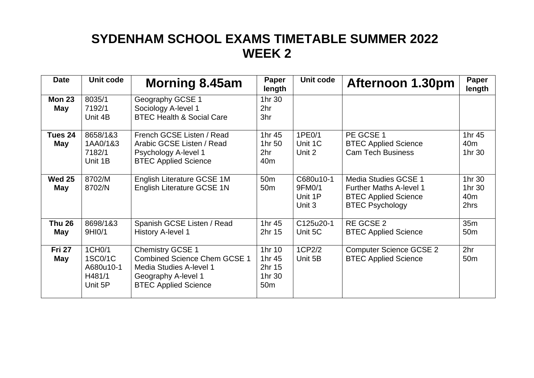| <b>Date</b>          | Unit code                                           | <b>Morning 8.45am</b>                                                                                                                           | Paper<br>length                                         | Unit code                                | <b>Afternoon 1.30pm</b>                                                                                                | Paper<br>length                             |
|----------------------|-----------------------------------------------------|-------------------------------------------------------------------------------------------------------------------------------------------------|---------------------------------------------------------|------------------------------------------|------------------------------------------------------------------------------------------------------------------------|---------------------------------------------|
| <b>Mon 23</b><br>May | 8035/1<br>7192/1<br>Unit 4B                         | Geography GCSE 1<br>Sociology A-level 1<br><b>BTEC Health &amp; Social Care</b>                                                                 | 1hr 30<br>2hr<br>3hr                                    |                                          |                                                                                                                        |                                             |
| Tues 24<br>May       | 8658/1&3<br>1AA0/1&3<br>7182/1<br>Unit 1B           | French GCSE Listen / Read<br>Arabic GCSE Listen / Read<br>Psychology A-level 1<br><b>BTEC Applied Science</b>                                   | 1hr 45<br>1hr 50<br>2hr<br>40 <sub>m</sub>              | 1PE0/1<br>Unit 1C<br>Unit 2              | PE GCSE 1<br><b>BTEC Applied Science</b><br><b>Cam Tech Business</b>                                                   | 1hr 45<br>40 <sub>m</sub><br>1hr 30         |
| <b>Wed 25</b><br>May | 8702/M<br>8702/N                                    | English Literature GCSE 1M<br>English Literature GCSE 1N                                                                                        | 50 <sub>m</sub><br>50 <sub>m</sub>                      | C680u10-1<br>9FM0/1<br>Unit 1P<br>Unit 3 | <b>Media Studies GCSE 1</b><br><b>Further Maths A-level 1</b><br><b>BTEC Applied Science</b><br><b>BTEC Psychology</b> | 1hr 30<br>1hr 30<br>40 <sub>m</sub><br>2hrs |
| <b>Thu 26</b><br>May | 8698/1&3<br>9HI0/1                                  | Spanish GCSE Listen / Read<br><b>History A-level 1</b>                                                                                          | 1hr 45<br>2hr 15                                        | C125u20-1<br>Unit 5C                     | RE GCSE 2<br><b>BTEC Applied Science</b>                                                                               | 35m<br>50 <sub>m</sub>                      |
| <b>Fri 27</b><br>May | 1CH0/1<br>1SC0/1C<br>A680u10-1<br>H481/1<br>Unit 5P | <b>Chemistry GCSE 1</b><br><b>Combined Science Chem GCSE 1</b><br>Media Studies A-level 1<br>Geography A-level 1<br><b>BTEC Applied Science</b> | 1hr 10<br>1hr 45<br>2hr 15<br>1hr 30<br>50 <sub>m</sub> | 1CP2/2<br>Unit 5B                        | <b>Computer Science GCSE 2</b><br><b>BTEC Applied Science</b>                                                          | 2 <sub>hr</sub><br>50 <sub>m</sub>          |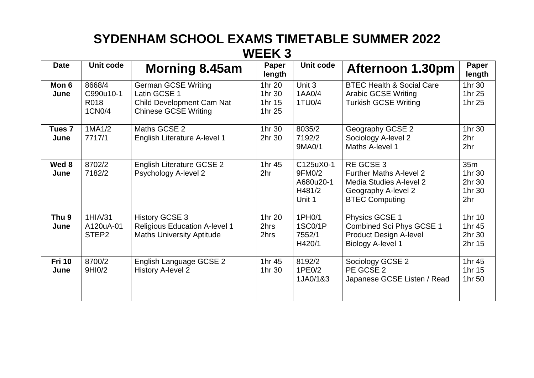| <b>Date</b>               | Unit code                                 | <b>Morning 8.45am</b>                                                                                         | Paper<br>length                      | Unit code                                            | <b>Afternoon 1.30pm</b>                                                                                                              | <b>Paper</b><br>length                               |
|---------------------------|-------------------------------------------|---------------------------------------------------------------------------------------------------------------|--------------------------------------|------------------------------------------------------|--------------------------------------------------------------------------------------------------------------------------------------|------------------------------------------------------|
| Mon 6<br>June             | 8668/4<br>C990u10-1<br>R018<br>1CN0/4     | <b>German GCSE Writing</b><br>Latin GCSE 1<br><b>Child Development Cam Nat</b><br><b>Chinese GCSE Writing</b> | 1hr 20<br>1hr 30<br>1hr 15<br>1hr 25 | Unit 3<br>1AA0/4<br>1TU0/4                           | <b>BTEC Health &amp; Social Care</b><br><b>Arabic GCSE Writing</b><br><b>Turkish GCSE Writing</b>                                    | 1hr 30<br>1hr 25<br>1hr 25                           |
| Tues <sub>7</sub><br>June | 1MA1/2<br>7717/1                          | Maths GCSE 2<br>English Literature A-level 1                                                                  | 1hr 30<br>2hr 30                     | 8035/2<br>7192/2<br>9MA0/1                           | Geography GCSE 2<br>Sociology A-level 2<br>Maths A-level 1                                                                           | 1hr 30<br>2 <sub>hr</sub><br>2 <sub>hr</sub>         |
| Wed 8<br>June             | 8702/2<br>7182/2                          | <b>English Literature GCSE 2</b><br>Psychology A-level 2                                                      | 1hr 45<br>2 <sub>hr</sub>            | C125uX0-1<br>9FM0/2<br>A680u20-1<br>H481/2<br>Unit 1 | <b>RE GCSE 3</b><br><b>Further Maths A-level 2</b><br><b>Media Studies A-level 2</b><br>Geography A-level 2<br><b>BTEC Computing</b> | 35m<br>1hr 30<br>2hr 30<br>1hr 30<br>2 <sub>hr</sub> |
| Thu <sub>9</sub><br>June  | 1HIA/31<br>A120uA-01<br>STEP <sub>2</sub> | <b>History GCSE 3</b><br><b>Religious Education A-level 1</b><br><b>Maths University Aptitude</b>             | 1hr 20<br>2hrs<br>2hrs               | 1PH <sub>0</sub> /1<br>1SC0/1P<br>7552/1<br>H420/1   | Physics GCSE 1<br>Combined Sci Phys GCSE 1<br><b>Product Design A-level</b><br><b>Biology A-level 1</b>                              | 1hr 10<br>1hr 45<br>2hr 30<br>2hr 15                 |
| <b>Fri 10</b><br>June     | 8700/2<br>9HI0/2                          | English Language GCSE 2<br><b>History A-level 2</b>                                                           | 1hr 45<br>1hr 30                     | 8192/2<br>1PE0/2<br>1JA0/1&3                         | Sociology GCSE 2<br>PE GCSE 2<br>Japanese GCSE Listen / Read                                                                         | 1hr 45<br>1hr 15<br>1hr 50                           |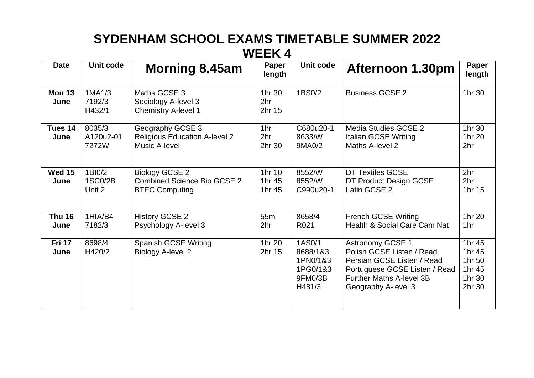| <b>Date</b>           | Unit code                    | <b>Morning 8.45am</b>                                                         | Paper<br>length                     | Unit code                                                       | <b>Afternoon 1.30pm</b>                                                                                                                                                       | Paper<br>length                                          |
|-----------------------|------------------------------|-------------------------------------------------------------------------------|-------------------------------------|-----------------------------------------------------------------|-------------------------------------------------------------------------------------------------------------------------------------------------------------------------------|----------------------------------------------------------|
| <b>Mon 13</b><br>June | 1MA1/3<br>7192/3<br>H432/1   | Maths GCSE 3<br>Sociology A-level 3<br><b>Chemistry A-level 1</b>             | 1hr 30<br>2 <sub>hr</sub><br>2hr 15 | 1BS0/2                                                          | <b>Business GCSE 2</b>                                                                                                                                                        | 1hr 30                                                   |
| Tues 14<br>June       | 8035/3<br>A120u2-01<br>7272W | Geography GCSE 3<br><b>Religious Education A-level 2</b><br>Music A-level     | 1hr<br>2hr<br>2hr 30                | C680u20-1<br>8633/W<br>9MA0/2                                   | Media Studies GCSE 2<br>Italian GCSE Writing<br>Maths A-level 2                                                                                                               | 1hr 30<br>1hr 20<br>2hr                                  |
| <b>Wed 15</b><br>June | 1BI0/2<br>1SC0/2B<br>Unit 2  | Biology GCSE 2<br><b>Combined Science Bio GCSE 2</b><br><b>BTEC Computing</b> | 1hr 10<br>1hr 45<br>1hr 45          | 8552/W<br>8552/W<br>C990u20-1                                   | <b>DT Textiles GCSE</b><br>DT Product Design GCSE<br>Latin GCSE 2                                                                                                             | 2 <sub>hr</sub><br>2 <sub>hr</sub><br>1hr 15             |
| <b>Thu 16</b><br>June | 1HIA/B4<br>7182/3            | <b>History GCSE 2</b><br>Psychology A-level 3                                 | 55 <sub>m</sub><br>2 <sub>hr</sub>  | 8658/4<br>R021                                                  | <b>French GCSE Writing</b><br>Health & Social Care Cam Nat                                                                                                                    | 1hr 20<br>1 <sub>hr</sub>                                |
| <b>Fri 17</b><br>June | 8698/4<br>H420/2             | <b>Spanish GCSE Writing</b><br><b>Biology A-level 2</b>                       | 1hr 20<br>2hr 15                    | 1AS0/1<br>8688/1&3<br>1PN0/1&3<br>1PG0/1&3<br>9FM0/3B<br>H481/3 | <b>Astronomy GCSE 1</b><br>Polish GCSE Listen / Read<br>Persian GCSE Listen / Read<br>Portuguese GCSE Listen / Read<br><b>Further Maths A-level 3B</b><br>Geography A-level 3 | 1hr 45<br>1hr 45<br>1hr 50<br>1hr 45<br>1hr 30<br>2hr 30 |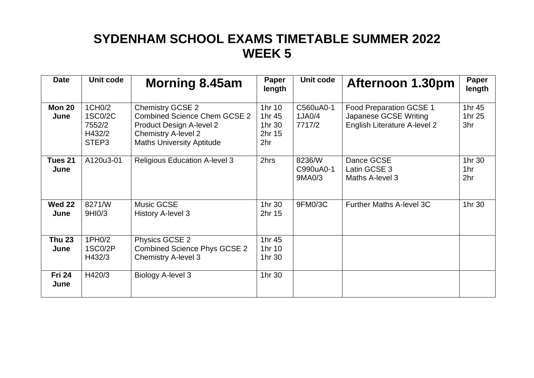| <b>Date</b>           | Unit code                                      | <b>Morning 8.45am</b>                                                                                                                                        | Paper<br>length                             | Unit code                     | Afternoon 1.30pm                                                                        | Paper<br>length                  |
|-----------------------|------------------------------------------------|--------------------------------------------------------------------------------------------------------------------------------------------------------------|---------------------------------------------|-------------------------------|-----------------------------------------------------------------------------------------|----------------------------------|
| <b>Mon 20</b><br>June | 1CH0/2<br>1SC0/2C<br>7552/2<br>H432/2<br>STEP3 | <b>Chemistry GCSE 2</b><br><b>Combined Science Chem GCSE 2</b><br>Product Design A-level 2<br><b>Chemistry A-level 2</b><br><b>Maths University Aptitude</b> | 1hr 10<br>1hr 45<br>1hr 30<br>2hr 15<br>2hr | C560uA0-1<br>1JA0/4<br>7717/2 | Food Preparation GCSE 1<br>Japanese GCSE Writing<br><b>English Literature A-level 2</b> | 1hr 45<br>1hr 25<br>3hr          |
| Tues 21<br>June       | A120u3-01                                      | <b>Religious Education A-level 3</b>                                                                                                                         | 2hrs                                        | 8236/W<br>C990uA0-1<br>9MA0/3 | Dance GCSE<br>Latin GCSE 3<br>Maths A-level 3                                           | 1hr 30<br>1hr<br>2 <sub>hr</sub> |
| <b>Wed 22</b><br>June | 8271/W<br>9HI0/3                               | Music GCSE<br><b>History A-level 3</b>                                                                                                                       | 1hr 30<br>2hr 15                            | 9FM0/3C                       | Further Maths A-level 3C                                                                | 1hr 30                           |
| <b>Thu 23</b><br>June | 1PH0/2<br>1SC0/2P<br>H432/3                    | Physics GCSE 2<br><b>Combined Science Phys GCSE 2</b><br><b>Chemistry A-level 3</b>                                                                          | 1hr 45<br>1hr 10<br>1hr 30                  |                               |                                                                                         |                                  |
| <b>Fri 24</b><br>June | H420/3                                         | Biology A-level 3                                                                                                                                            | 1hr 30                                      |                               |                                                                                         |                                  |